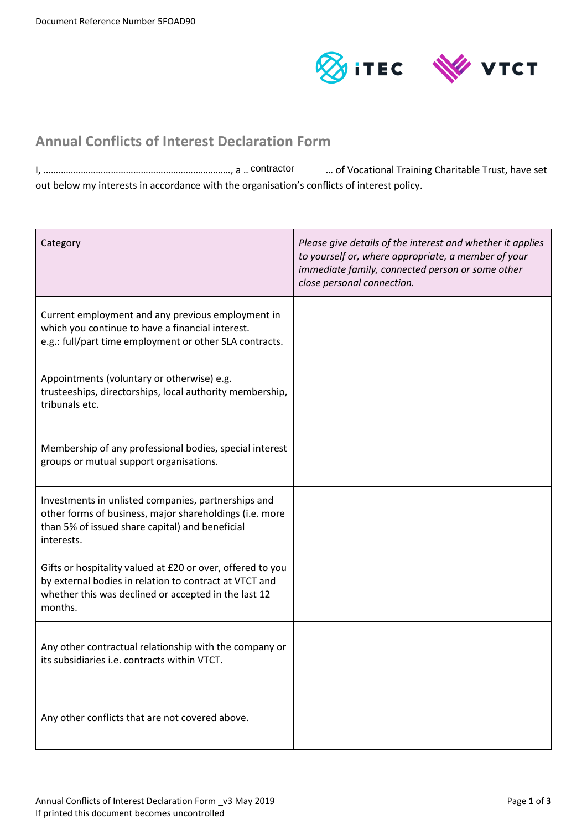

# **Annual Conflicts of Interest Declaration Form**

I, …………………………………………………………………, a ……………………………… of Vocational Training Charitable Trust, have set contractorout below my interests in accordance with the organisation's conflicts of interest policy.

| Category                                                                                                                                                                                | Please give details of the interest and whether it applies<br>to yourself or, where appropriate, a member of your<br>immediate family, connected person or some other<br>close personal connection. |
|-----------------------------------------------------------------------------------------------------------------------------------------------------------------------------------------|-----------------------------------------------------------------------------------------------------------------------------------------------------------------------------------------------------|
| Current employment and any previous employment in<br>which you continue to have a financial interest.<br>e.g.: full/part time employment or other SLA contracts.                        |                                                                                                                                                                                                     |
| Appointments (voluntary or otherwise) e.g.<br>trusteeships, directorships, local authority membership,<br>tribunals etc.                                                                |                                                                                                                                                                                                     |
| Membership of any professional bodies, special interest<br>groups or mutual support organisations.                                                                                      |                                                                                                                                                                                                     |
| Investments in unlisted companies, partnerships and<br>other forms of business, major shareholdings (i.e. more<br>than 5% of issued share capital) and beneficial<br>interests.         |                                                                                                                                                                                                     |
| Gifts or hospitality valued at £20 or over, offered to you<br>by external bodies in relation to contract at VTCT and<br>whether this was declined or accepted in the last 12<br>months. |                                                                                                                                                                                                     |
| Any other contractual relationship with the company or<br>its subsidiaries i.e. contracts within VTCT.                                                                                  |                                                                                                                                                                                                     |
| Any other conflicts that are not covered above.                                                                                                                                         |                                                                                                                                                                                                     |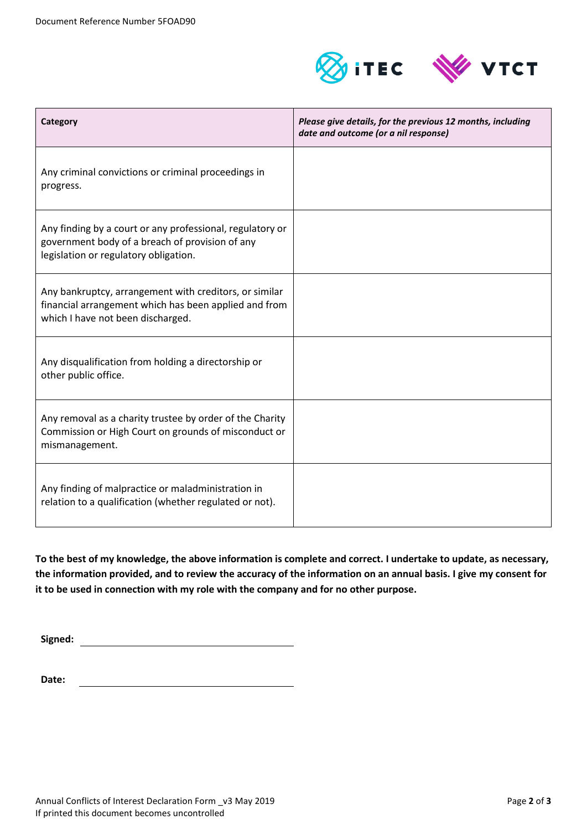

| <b>Category</b>                                                                                                                                       | Please give details, for the previous 12 months, including<br>date and outcome (or a nil response) |
|-------------------------------------------------------------------------------------------------------------------------------------------------------|----------------------------------------------------------------------------------------------------|
| Any criminal convictions or criminal proceedings in<br>progress.                                                                                      |                                                                                                    |
| Any finding by a court or any professional, regulatory or<br>government body of a breach of provision of any<br>legislation or regulatory obligation. |                                                                                                    |
| Any bankruptcy, arrangement with creditors, or similar<br>financial arrangement which has been applied and from<br>which I have not been discharged.  |                                                                                                    |
| Any disqualification from holding a directorship or<br>other public office.                                                                           |                                                                                                    |
| Any removal as a charity trustee by order of the Charity<br>Commission or High Court on grounds of misconduct or<br>mismanagement.                    |                                                                                                    |
| Any finding of malpractice or maladministration in<br>relation to a qualification (whether regulated or not).                                         |                                                                                                    |

**To the best of my knowledge, the above information is complete and correct. I undertake to update, as necessary, the information provided, and to review the accuracy of the information on an annual basis. I give my consent for it to be used in connection with my role with the company and for no other purpose.**

**Signed:**

**Date:**